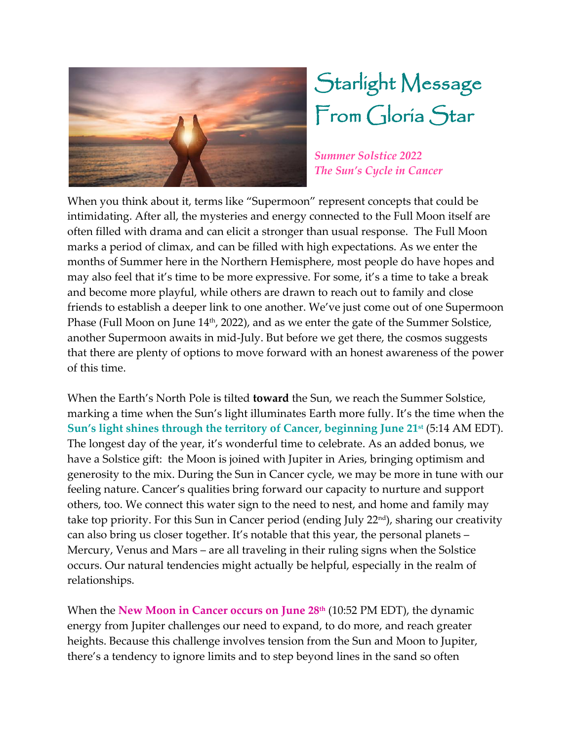

## Starlight Message From Gloría Star

*Summer Solstice 2022 The Sun's Cycle in Cancer*

When you think about it, terms like "Supermoon" represent concepts that could be intimidating. After all, the mysteries and energy connected to the Full Moon itself are often filled with drama and can elicit a stronger than usual response. The Full Moon marks a period of climax, and can be filled with high expectations. As we enter the months of Summer here in the Northern Hemisphere, most people do have hopes and may also feel that it's time to be more expressive. For some, it's a time to take a break and become more playful, while others are drawn to reach out to family and close friends to establish a deeper link to one another. We've just come out of one Supermoon Phase (Full Moon on June  $14<sup>th</sup>$ , 2022), and as we enter the gate of the Summer Solstice, another Supermoon awaits in mid-July. But before we get there, the cosmos suggests that there are plenty of options to move forward with an honest awareness of the power of this time.

When the Earth's North Pole is tilted **toward** the Sun, we reach the Summer Solstice, marking a time when the Sun's light illuminates Earth more fully. It's the time when the **Sun's light shines through the territory of Cancer, beginning June 21st** (5:14 AM EDT). The longest day of the year, it's wonderful time to celebrate. As an added bonus, we have a Solstice gift: the Moon is joined with Jupiter in Aries, bringing optimism and generosity to the mix. During the Sun in Cancer cycle, we may be more in tune with our feeling nature. Cancer's qualities bring forward our capacity to nurture and support others, too. We connect this water sign to the need to nest, and home and family may take top priority. For this Sun in Cancer period (ending July 22nd), sharing our creativity can also bring us closer together. It's notable that this year, the personal planets – Mercury, Venus and Mars – are all traveling in their ruling signs when the Solstice occurs. Our natural tendencies might actually be helpful, especially in the realm of relationships.

When the **New Moon in Cancer occurs on June 28th** (10:52 PM EDT), the dynamic energy from Jupiter challenges our need to expand, to do more, and reach greater heights. Because this challenge involves tension from the Sun and Moon to Jupiter, there's a tendency to ignore limits and to step beyond lines in the sand so often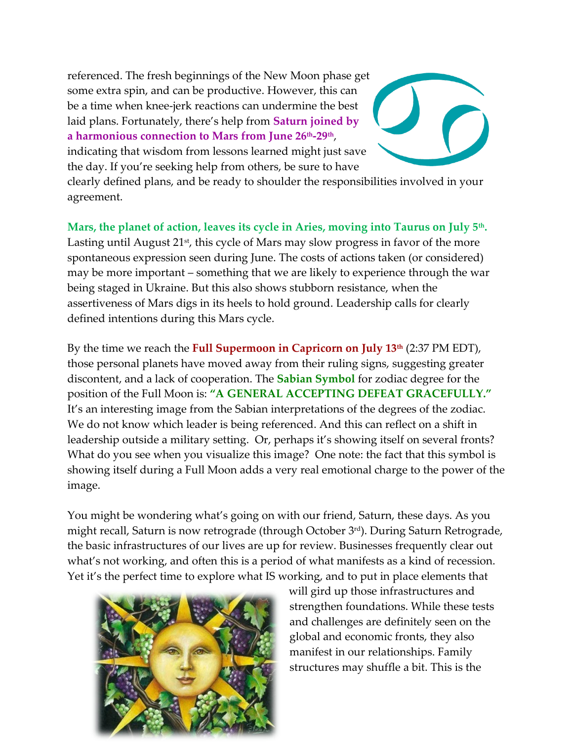referenced. The fresh beginnings of the New Moon phase get some extra spin, and can be productive. However, this can be a time when knee-jerk reactions can undermine the best laid plans. Fortunately, there's help from **Saturn joined by a harmonious connection to Mars from June 26th-29th** , indicating that wisdom from lessons learned might just save

the day. If you're seeking help from others, be sure to have

clearly defined plans, and be ready to shoulder the responsibilities involved in your agreement.

**Mars, the planet of action, leaves its cycle in Aries, moving into Taurus on July 5th .** Lasting until August  $21^{st}$ , this cycle of Mars may slow progress in favor of the more spontaneous expression seen during June. The costs of actions taken (or considered) may be more important – something that we are likely to experience through the war being staged in Ukraine. But this also shows stubborn resistance, when the assertiveness of Mars digs in its heels to hold ground. Leadership calls for clearly defined intentions during this Mars cycle.

By the time we reach the **Full Supermoon in Capricorn on July 13th** (2:37 PM EDT), those personal planets have moved away from their ruling signs, suggesting greater discontent, and a lack of cooperation. The **Sabian Symbol** for zodiac degree for the position of the Full Moon is: **"A GENERAL ACCEPTING DEFEAT GRACEFULLY."** It's an interesting image from the Sabian interpretations of the degrees of the zodiac. We do not know which leader is being referenced. And this can reflect on a shift in leadership outside a military setting. Or, perhaps it's showing itself on several fronts? What do you see when you visualize this image? One note: the fact that this symbol is showing itself during a Full Moon adds a very real emotional charge to the power of the image.

You might be wondering what's going on with our friend, Saturn, these days. As you might recall, Saturn is now retrograde (through October  $3<sup>rd</sup>$ ). During Saturn Retrograde, the basic infrastructures of our lives are up for review. Businesses frequently clear out what's not working, and often this is a period of what manifests as a kind of recession. Yet it's the perfect time to explore what IS working, and to put in place elements that



will gird up those infrastructures and strengthen foundations. While these tests and challenges are definitely seen on the global and economic fronts, they also manifest in our relationships. Family structures may shuffle a bit. This is the